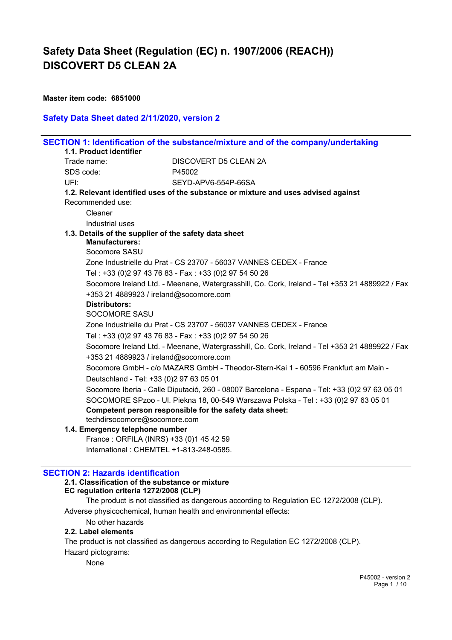**Master item code: 6851000**

### **Safety Data Sheet dated 2/11/2020, version 2**

|                                                       | SECTION 1: Identification of the substance/mixture and of the company/undertaking                         |
|-------------------------------------------------------|-----------------------------------------------------------------------------------------------------------|
| 1.1. Product identifier                               | DISCOVERT D5 CLEAN 2A                                                                                     |
| Trade name:                                           |                                                                                                           |
| SDS code:                                             | P45002                                                                                                    |
| UFI:                                                  | SEYD-APV6-554P-66SA<br>1.2. Relevant identified uses of the substance or mixture and uses advised against |
| Recommended use:                                      |                                                                                                           |
| Cleaner                                               |                                                                                                           |
| Industrial uses                                       |                                                                                                           |
| 1.3. Details of the supplier of the safety data sheet |                                                                                                           |
| <b>Manufacturers:</b>                                 |                                                                                                           |
| Socomore SASU                                         |                                                                                                           |
|                                                       | Zone Industrielle du Prat - CS 23707 - 56037 VANNES CEDEX - France                                        |
|                                                       | Tel: +33 (0)2 97 43 76 83 - Fax: +33 (0)2 97 54 50 26                                                     |
|                                                       | Socomore Ireland Ltd. - Meenane, Watergrasshill, Co. Cork, Ireland - Tel +353 21 4889922 / Fax            |
| +353 21 4889923 / ireland@socomore.com                |                                                                                                           |
| <b>Distributors:</b>                                  |                                                                                                           |
| <b>SOCOMORE SASU</b>                                  |                                                                                                           |
|                                                       | Zone Industrielle du Prat - CS 23707 - 56037 VANNES CEDEX - France                                        |
|                                                       | Tel: +33 (0)2 97 43 76 83 - Fax: +33 (0)2 97 54 50 26                                                     |
|                                                       | Socomore Ireland Ltd. - Meenane, Watergrasshill, Co. Cork, Ireland - Tel +353 21 4889922 / Fax            |
| +353 21 4889923 / ireland@socomore.com                |                                                                                                           |
|                                                       | Socomore GmbH - c/o MAZARS GmbH - Theodor-Stern-Kai 1 - 60596 Frankfurt am Main -                         |
| Deutschland - Tel: +33 (0)2 97 63 05 01               |                                                                                                           |
|                                                       | Socomore Iberia - Calle Diputació, 260 - 08007 Barcelona - Espana - Tel: +33 (0)2 97 63 05 01             |
|                                                       | SOCOMORE SPzoo - Ul. Piekna 18, 00-549 Warszawa Polska - Tel : +33 (0)2 97 63 05 01                       |
|                                                       | Competent person responsible for the safety data sheet:                                                   |
| techdirsocomore@socomore.com                          |                                                                                                           |
| 1.4. Emergency telephone number                       |                                                                                                           |
| France: ORFILA (INRS) +33 (0)1 45 42 59               |                                                                                                           |
| International: CHEMTEL +1-813-248-0585.               |                                                                                                           |

## **SECTION 2: Hazards identification**

## **2.1. Classification of the substance or mixture**

**EC regulation criteria 1272/2008 (CLP)**

The product is not classified as dangerous according to Regulation EC 1272/2008 (CLP).

Adverse physicochemical, human health and environmental effects:

No other hazards

### **2.2. Label elements**

The product is not classified as dangerous according to Regulation EC 1272/2008 (CLP).

Hazard pictograms:

None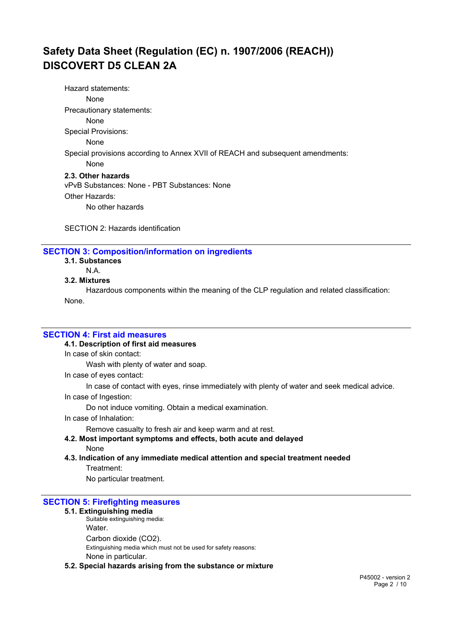Hazard statements: None Precautionary statements: None Special Provisions: None Special provisions according to Annex XVII of REACH and subsequent amendments: None **2.3. Other hazards** vPvB Substances: None - PBT Substances: None Other Hazards: No other hazards

SECTION 2: Hazards identification

### **SECTION 3: Composition/information on ingredients**

- **3.1. Substances**
	- N.A.

## **3.2. Mixtures**

Hazardous components within the meaning of the CLP regulation and related classification:

None.

### **SECTION 4: First aid measures**

#### **4.1. Description of first aid measures**

In case of skin contact:

Wash with plenty of water and soap.

In case of eyes contact:

In case of contact with eyes, rinse immediately with plenty of water and seek medical advice.

In case of Ingestion:

Do not induce vomiting. Obtain a medical examination.

In case of Inhalation:

Remove casualty to fresh air and keep warm and at rest.

- **4.2. Most important symptoms and effects, both acute and delayed** None
- **4.3. Indication of any immediate medical attention and special treatment needed**

Treatment:

No particular treatment.

#### **SECTION 5: Firefighting measures**

### **5.1. Extinguishing media**

Suitable extinguishing media: Water. Carbon dioxide (CO2). Extinguishing media which must not be used for safety reasons: None in particular.

#### **5.2. Special hazards arising from the substance or mixture**

P45002 - version 2 Page 2 / 10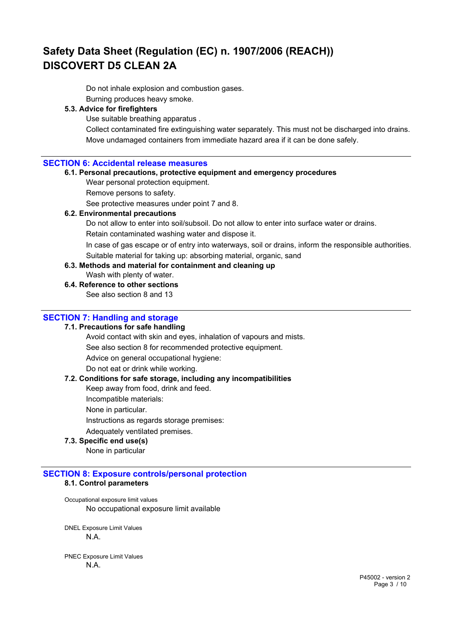Do not inhale explosion and combustion gases. Burning produces heavy smoke.

### **5.3. Advice for firefighters**

Use suitable breathing apparatus .

Collect contaminated fire extinguishing water separately. This must not be discharged into drains. Move undamaged containers from immediate hazard area if it can be done safely.

### **SECTION 6: Accidental release measures**

#### **6.1. Personal precautions, protective equipment and emergency procedures**

Wear personal protection equipment.

Remove persons to safety.

See protective measures under point 7 and 8.

#### **6.2. Environmental precautions**

Do not allow to enter into soil/subsoil. Do not allow to enter into surface water or drains.

Retain contaminated washing water and dispose it.

In case of gas escape or of entry into waterways, soil or drains, inform the responsible authorities.

Suitable material for taking up: absorbing material, organic, sand **6.3. Methods and material for containment and cleaning up**

Wash with plenty of water.

### **6.4. Reference to other sections**

See also section 8 and 13

### **SECTION 7: Handling and storage**

#### **7.1. Precautions for safe handling**

Avoid contact with skin and eyes, inhalation of vapours and mists.

See also section 8 for recommended protective equipment.

Advice on general occupational hygiene:

Do not eat or drink while working.

### **7.2. Conditions for safe storage, including any incompatibilities**

Keep away from food, drink and feed.

Incompatible materials:

None in particular.

Instructions as regards storage premises:

Adequately ventilated premises.

### **7.3. Specific end use(s)**

None in particular

## **SECTION 8: Exposure controls/personal protection 8.1. Control parameters**

Occupational exposure limit values No occupational exposure limit available

DNEL Exposure Limit Values N.A.

PNEC Exposure Limit Values N.A.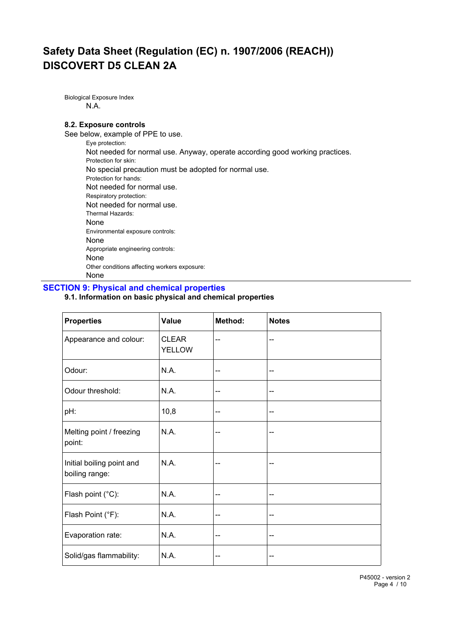Biological Exposure Index N.A.

### **8.2. Exposure controls**

See below, example of PPE to use. Eye protection: Not needed for normal use. Anyway, operate according good working practices. Protection for skin: No special precaution must be adopted for normal use. Protection for hands: Not needed for normal use. Respiratory protection: Not needed for normal use. Thermal Hazards: None Environmental exposure controls: None Appropriate engineering controls: None Other conditions affecting workers exposure:

# None

### **SECTION 9: Physical and chemical properties**

## **9.1. Information on basic physical and chemical properties**

| <b>Properties</b>                           | Value                         | Method: | <b>Notes</b> |
|---------------------------------------------|-------------------------------|---------|--------------|
| Appearance and colour:                      | <b>CLEAR</b><br><b>YELLOW</b> | --      | --           |
| Odour:                                      | N.A.                          | --      | --           |
| Odour threshold:                            | N.A.                          | --      | --           |
| pH:                                         | 10,8                          | --      | --           |
| Melting point / freezing<br>point:          | N.A.                          | --      | --           |
| Initial boiling point and<br>boiling range: | N.A.                          | --      | --           |
| Flash point (°C):                           | N.A.                          | --      | --           |
| Flash Point (°F):                           | N.A.                          | --      | --           |
| Evaporation rate:                           | N.A.                          | --      | --           |
| Solid/gas flammability:                     | N.A.                          | --      | --           |

P45002 - version 2 Page 4 / 10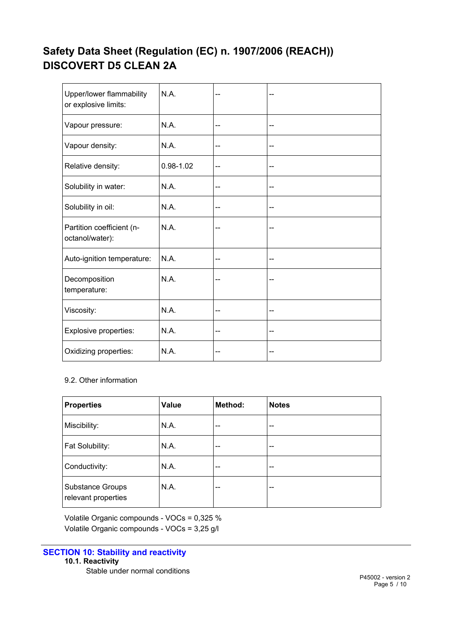| Upper/lower flammability<br>or explosive limits: | N.A.          |     |    |
|--------------------------------------------------|---------------|-----|----|
| Vapour pressure:                                 | N.A.          | --  | -- |
| Vapour density:                                  | N.A.          | --  | -- |
| Relative density:                                | $0.98 - 1.02$ | --  | -- |
| Solubility in water:                             | N.A.          | --  |    |
| Solubility in oil:                               | N.A.          | $-$ | -- |
| Partition coefficient (n-<br>octanol/water):     | N.A.          |     |    |
| Auto-ignition temperature:                       | N.A.          | --  | -- |
| Decomposition<br>temperature:                    | N.A.          |     | -- |
| Viscosity:                                       | N.A.          | --  | -- |
| Explosive properties:                            | N.A.          | ۵.  | -- |
| Oxidizing properties:                            | N.A.          | --  | -- |

# 9.2. Other information

| <b>Properties</b>                              | Value | Method: | <b>Notes</b> |
|------------------------------------------------|-------|---------|--------------|
| Miscibility:                                   | N.A.  | --      | --           |
| Fat Solubility:                                | N.A.  | --      | --           |
| Conductivity:                                  | N.A.  | $- -$   | --           |
| <b>Substance Groups</b><br>relevant properties | N.A.  | --      | --           |

Volatile Organic compounds - VOCs = 0,325 % Volatile Organic compounds - VOCs = 3,25 g/l

## **SECTION 10: Stability and reactivity 10.1. Reactivity**

Stable under normal conditions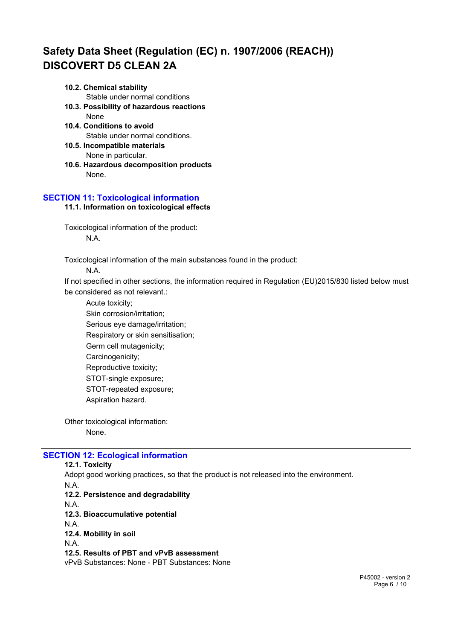#### **10.2. Chemical stability**

Stable under normal conditions

- **10.3. Possibility of hazardous reactions** None
- **10.4. Conditions to avoid** Stable under normal conditions.
- **10.5. Incompatible materials** None in particular.
- **10.6. Hazardous decomposition products** None.

### **SECTION 11: Toxicological information 11.1. Information on toxicological effects**

Toxicological information of the product: N.A.

Toxicological information of the main substances found in the product:

N.A.

If not specified in other sections, the information required in Regulation (EU)2015/830 listed below must be considered as not relevant.:

Acute toxicity; Skin corrosion/irritation; Serious eye damage/irritation; Respiratory or skin sensitisation; Germ cell mutagenicity; Carcinogenicity; Reproductive toxicity; STOT-single exposure; STOT-repeated exposure; Aspiration hazard.

Other toxicological information: None.

# **SECTION 12: Ecological information**

#### **12.1. Toxicity**

Adopt good working practices, so that the product is not released into the environment.

N.A. **12.2. Persistence and degradability** N.A. **12.3. Bioaccumulative potential**

N.A.

**12.4. Mobility in soil**

N.A.

**12.5. Results of PBT and vPvB assessment**

vPvB Substances: None - PBT Substances: None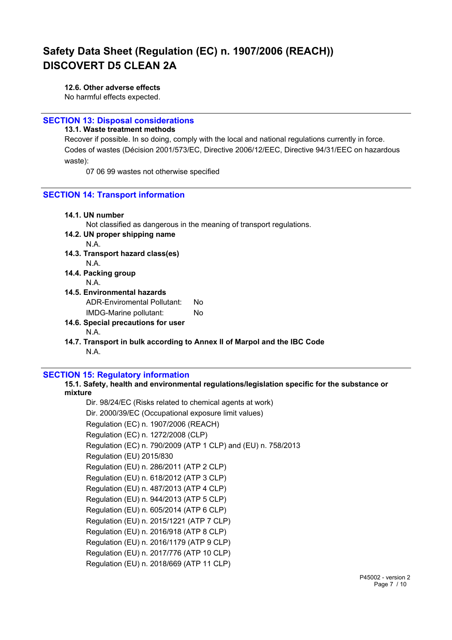### **12.6. Other adverse effects**

No harmful effects expected.

### **SECTION 13: Disposal considerations**

**13.1. Waste treatment methods**

Recover if possible. In so doing, comply with the local and national regulations currently in force. Codes of wastes (Décision 2001/573/EC, Directive 2006/12/EEC, Directive 94/31/EEC on hazardous waste):

07 06 99 wastes not otherwise specified

### **SECTION 14: Transport information**

| 14.1. UN number                                                          |
|--------------------------------------------------------------------------|
| Not classified as dangerous in the meaning of transport regulations.     |
| 14.2. UN proper shipping name                                            |
| N A                                                                      |
| 14.3. Transport hazard class(es)                                         |
| N.A.                                                                     |
| 14.4. Packing group                                                      |
| N.A.                                                                     |
| 14.5. Environmental hazards                                              |
| ADR-Enviromental Pollutant:<br>Nο                                        |
| No.<br>IMDG-Marine pollutant:                                            |
| 14.6. Special precautions for user                                       |
| N.A.                                                                     |
| 14.7. Transport in bulk according to Annex II of Marpol and the IBC Code |
| N.A.                                                                     |
|                                                                          |

### **SECTION 15: Regulatory information**

**15.1. Safety, health and environmental regulations/legislation specific for the substance or mixture**

Dir. 98/24/EC (Risks related to chemical agents at work) Dir. 2000/39/EC (Occupational exposure limit values) Regulation (EC) n. 1907/2006 (REACH) Regulation (EC) n. 1272/2008 (CLP) Regulation (EC) n. 790/2009 (ATP 1 CLP) and (EU) n. 758/2013 Regulation (EU) 2015/830 Regulation (EU) n. 286/2011 (ATP 2 CLP) Regulation (EU) n. 618/2012 (ATP 3 CLP) Regulation (EU) n. 487/2013 (ATP 4 CLP) Regulation (EU) n. 944/2013 (ATP 5 CLP) Regulation (EU) n. 605/2014 (ATP 6 CLP) Regulation (EU) n. 2015/1221 (ATP 7 CLP) Regulation (EU) n. 2016/918 (ATP 8 CLP) Regulation (EU) n. 2016/1179 (ATP 9 CLP) Regulation (EU) n. 2017/776 (ATP 10 CLP) Regulation (EU) n. 2018/669 (ATP 11 CLP)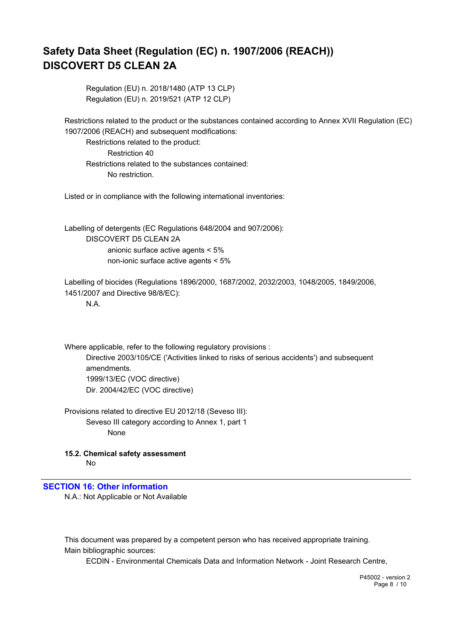Regulation (EU) n. 2018/1480 (ATP 13 CLP) Regulation (EU) n. 2019/521 (ATP 12 CLP)

Restrictions related to the product or the substances contained according to Annex XVII Regulation (EC) 1907/2006 (REACH) and subsequent modifications:

Restrictions related to the product: Restriction 40 Restrictions related to the substances contained: No restriction.

Listed or in compliance with the following international inventories:

Labelling of detergents (EC Regulations 648/2004 and 907/2006): DISCOVERT D5 CLEAN 2A anionic surface active agents < 5% non-ionic surface active agents < 5%

Labelling of biocides (Regulations 1896/2000, 1687/2002, 2032/2003, 1048/2005, 1849/2006, 1451/2007 and Directive 98/8/EC):

N.A.

Where applicable, refer to the following regulatory provisions : Directive 2003/105/CE ('Activities linked to risks of serious accidents') and subsequent amendments. 1999/13/EC (VOC directive) Dir. 2004/42/EC (VOC directive)

Provisions related to directive EU 2012/18 (Seveso III): Seveso III category according to Annex 1, part 1 None

**15.2. Chemical safety assessment** No

**SECTION 16: Other information**

N.A.: Not Applicable or Not Available

This document was prepared by a competent person who has received appropriate training. Main bibliographic sources:

ECDIN - Environmental Chemicals Data and Information Network - Joint Research Centre,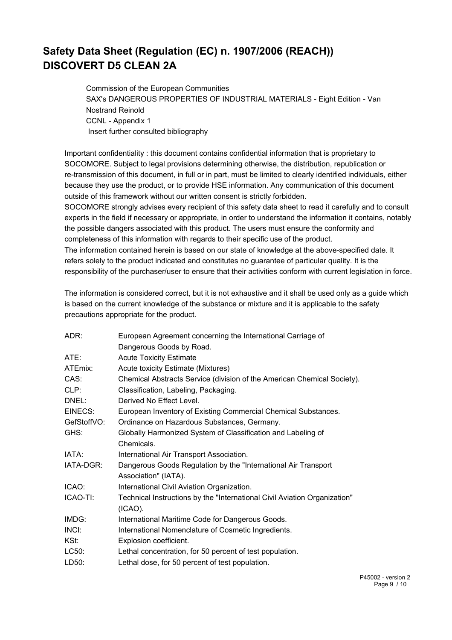Commission of the European Communities SAX's DANGEROUS PROPERTIES OF INDUSTRIAL MATERIALS - Eight Edition - Van Nostrand Reinold CCNL - Appendix 1 Insert further consulted bibliography

Important confidentiality : this document contains confidential information that is proprietary to SOCOMORE. Subject to legal provisions determining otherwise, the distribution, republication or re-transmission of this document, in full or in part, must be limited to clearly identified individuals, either because they use the product, or to provide HSE information. Any communication of this document outside of this framework without our written consent is strictly forbidden.

SOCOMORE strongly advises every recipient of this safety data sheet to read it carefully and to consult experts in the field if necessary or appropriate, in order to understand the information it contains, notably the possible dangers associated with this product. The users must ensure the conformity and completeness of this information with regards to their specific use of the product. The information contained herein is based on our state of knowledge at the above-specified date. It

refers solely to the product indicated and constitutes no guarantee of particular quality. It is the responsibility of the purchaser/user to ensure that their activities conform with current legislation in force.

The information is considered correct, but it is not exhaustive and it shall be used only as a guide which is based on the current knowledge of the substance or mixture and it is applicable to the safety precautions appropriate for the product.

| ADR:        | European Agreement concerning the International Carriage of               |
|-------------|---------------------------------------------------------------------------|
|             | Dangerous Goods by Road.                                                  |
| ATE:        | <b>Acute Toxicity Estimate</b>                                            |
| ATEmix:     | Acute toxicity Estimate (Mixtures)                                        |
| CAS:        | Chemical Abstracts Service (division of the American Chemical Society).   |
| CLP:        | Classification, Labeling, Packaging.                                      |
| DNEL:       | Derived No Effect Level.                                                  |
| EINECS:     | European Inventory of Existing Commercial Chemical Substances.            |
| GefStoffVO: | Ordinance on Hazardous Substances, Germany.                               |
| GHS:        | Globally Harmonized System of Classification and Labeling of              |
|             | Chemicals.                                                                |
| IATA:       | International Air Transport Association.                                  |
| IATA-DGR:   | Dangerous Goods Regulation by the "International Air Transport            |
|             | Association" (IATA).                                                      |
| ICAO:       | International Civil Aviation Organization.                                |
| ICAO-TI:    | Technical Instructions by the "International Civil Aviation Organization" |
|             | $(ICAO)$ .                                                                |
| IMDG:       | International Maritime Code for Dangerous Goods.                          |
| INCI:       | International Nomenclature of Cosmetic Ingredients.                       |
| KSt:        | Explosion coefficient.                                                    |
| LC50:       | Lethal concentration, for 50 percent of test population.                  |
| LD50:       | Lethal dose, for 50 percent of test population.                           |